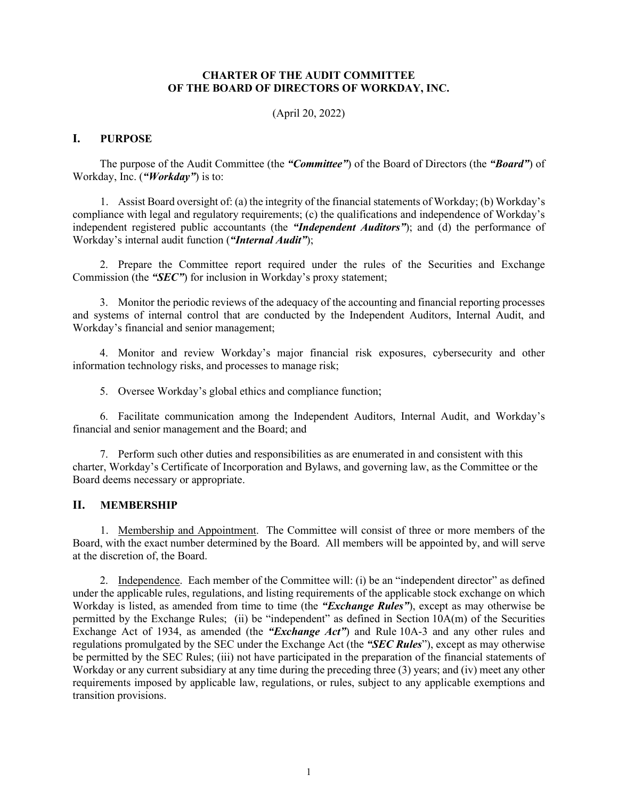### **CHARTER OF THE AUDIT COMMITTEE OF THE BOARD OF DIRECTORS OF WORKDAY, INC.**

(April 20, 2022)

# **I. PURPOSE**

The purpose of the Audit Committee (the *"Committee"*) of the Board of Directors (the *"Board"*) of Workday, Inc. (*"Workday"*) is to:

1. Assist Board oversight of: (a) the integrity of the financial statements of Workday; (b) Workday's compliance with legal and regulatory requirements; (c) the qualifications and independence of Workday's independent registered public accountants (the *"Independent Auditors"*); and (d) the performance of Workday's internal audit function (*"Internal Audit"*);

2. Prepare the Committee report required under the rules of the Securities and Exchange Commission (the *"SEC"*) for inclusion in Workday's proxy statement;

3. Monitor the periodic reviews of the adequacy of the accounting and financial reporting processes and systems of internal control that are conducted by the Independent Auditors, Internal Audit, and Workday's financial and senior management;

4. Monitor and review Workday's major financial risk exposures, cybersecurity and other information technology risks, and processes to manage risk;

5. Oversee Workday's global ethics and compliance function;

6. Facilitate communication among the Independent Auditors, Internal Audit, and Workday's financial and senior management and the Board; and

7. Perform such other duties and responsibilities as are enumerated in and consistent with this charter, Workday's Certificate of Incorporation and Bylaws, and governing law, as the Committee or the Board deems necessary or appropriate.

## **II. MEMBERSHIP**

1. Membership and Appointment. The Committee will consist of three or more members of the Board, with the exact number determined by the Board. All members will be appointed by, and will serve at the discretion of, the Board.

2. Independence. Each member of the Committee will: (i) be an "independent director" as defined under the applicable rules, regulations, and listing requirements of the applicable stock exchange on which Workday is listed, as amended from time to time (the *"Exchange Rules"*), except as may otherwise be permitted by the Exchange Rules; (ii) be "independent" as defined in Section 10A(m) of the Securities Exchange Act of 1934, as amended (the *"Exchange Act"*) and Rule 10A-3 and any other rules and regulations promulgated by the SEC under the Exchange Act (the *"SEC Rules*"), except as may otherwise be permitted by the SEC Rules; (iii) not have participated in the preparation of the financial statements of Workday or any current subsidiary at any time during the preceding three (3) years; and (iv) meet any other requirements imposed by applicable law, regulations, or rules, subject to any applicable exemptions and transition provisions.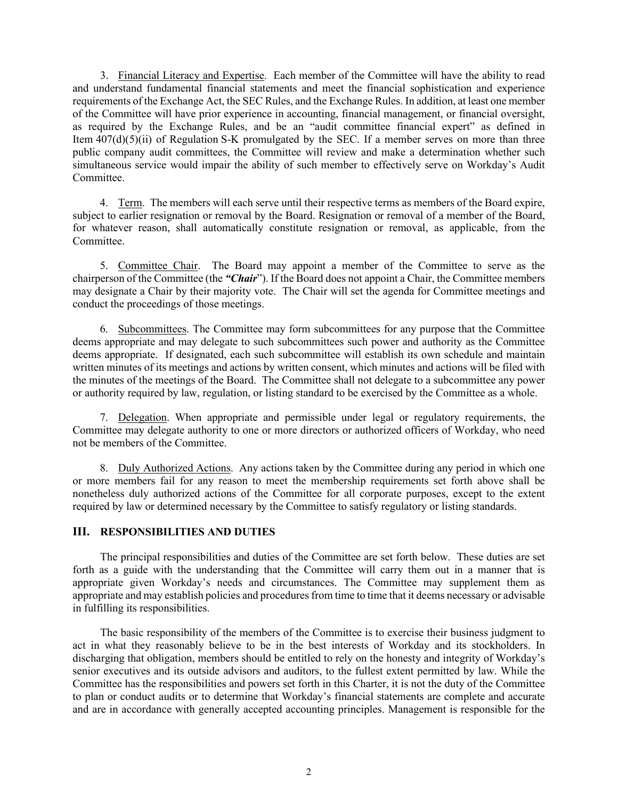3. Financial Literacy and Expertise. Each member of the Committee will have the ability to read and understand fundamental financial statements and meet the financial sophistication and experience requirements of the Exchange Act, the SEC Rules, and the Exchange Rules. In addition, at least one member of the Committee will have prior experience in accounting, financial management, or financial oversight, as required by the Exchange Rules, and be an "audit committee financial expert" as defined in Item 407(d)(5)(ii) of Regulation S-K promulgated by the SEC. If a member serves on more than three public company audit committees, the Committee will review and make a determination whether such simultaneous service would impair the ability of such member to effectively serve on Workday's Audit Committee.

4. Term. The members will each serve until their respective terms as members of the Board expire, subject to earlier resignation or removal by the Board. Resignation or removal of a member of the Board, for whatever reason, shall automatically constitute resignation or removal, as applicable, from the Committee.

5. Committee Chair. The Board may appoint a member of the Committee to serve as the chairperson of the Committee (the *"Chair*"). If the Board does not appoint a Chair, the Committee members may designate a Chair by their majority vote. The Chair will set the agenda for Committee meetings and conduct the proceedings of those meetings.

6. Subcommittees. The Committee may form subcommittees for any purpose that the Committee deems appropriate and may delegate to such subcommittees such power and authority as the Committee deems appropriate. If designated, each such subcommittee will establish its own schedule and maintain written minutes of its meetings and actions by written consent, which minutes and actions will be filed with the minutes of the meetings of the Board. The Committee shall not delegate to a subcommittee any power or authority required by law, regulation, or listing standard to be exercised by the Committee as a whole.

7. Delegation. When appropriate and permissible under legal or regulatory requirements, the Committee may delegate authority to one or more directors or authorized officers of Workday, who need not be members of the Committee.

8. Duly Authorized Actions. Any actions taken by the Committee during any period in which one or more members fail for any reason to meet the membership requirements set forth above shall be nonetheless duly authorized actions of the Committee for all corporate purposes, except to the extent required by law or determined necessary by the Committee to satisfy regulatory or listing standards.

### **III. RESPONSIBILITIES AND DUTIES**

The principal responsibilities and duties of the Committee are set forth below. These duties are set forth as a guide with the understanding that the Committee will carry them out in a manner that is appropriate given Workday's needs and circumstances. The Committee may supplement them as appropriate and may establish policies and procedures from time to time that it deems necessary or advisable in fulfilling its responsibilities.

The basic responsibility of the members of the Committee is to exercise their business judgment to act in what they reasonably believe to be in the best interests of Workday and its stockholders. In discharging that obligation, members should be entitled to rely on the honesty and integrity of Workday's senior executives and its outside advisors and auditors, to the fullest extent permitted by law. While the Committee has the responsibilities and powers set forth in this Charter, it is not the duty of the Committee to plan or conduct audits or to determine that Workday's financial statements are complete and accurate and are in accordance with generally accepted accounting principles. Management is responsible for the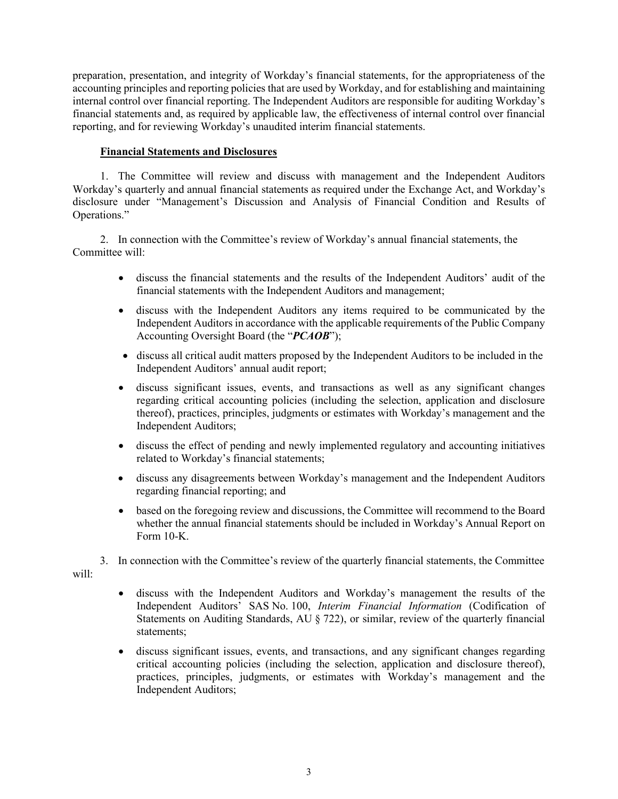preparation, presentation, and integrity of Workday's financial statements, for the appropriateness of the accounting principles and reporting policies that are used by Workday, and for establishing and maintaining internal control over financial reporting. The Independent Auditors are responsible for auditing Workday's financial statements and, as required by applicable law, the effectiveness of internal control over financial reporting, and for reviewing Workday's unaudited interim financial statements.

## **Financial Statements and Disclosures**

1. The Committee will review and discuss with management and the Independent Auditors Workday's quarterly and annual financial statements as required under the Exchange Act, and Workday's disclosure under "Management's Discussion and Analysis of Financial Condition and Results of Operations."

2. In connection with the Committee's review of Workday's annual financial statements, the Committee will:

- discuss the financial statements and the results of the Independent Auditors' audit of the financial statements with the Independent Auditors and management;
- discuss with the Independent Auditors any items required to be communicated by the Independent Auditors in accordance with the applicable requirements of the Public Company Accounting Oversight Board (the "*PCAOB*");
- discuss all critical audit matters proposed by the Independent Auditors to be included in the Independent Auditors' annual audit report;
- discuss significant issues, events, and transactions as well as any significant changes regarding critical accounting policies (including the selection, application and disclosure thereof), practices, principles, judgments or estimates with Workday's management and the Independent Auditors;
- discuss the effect of pending and newly implemented regulatory and accounting initiatives related to Workday's financial statements;
- discuss any disagreements between Workday's management and the Independent Auditors regarding financial reporting; and
- based on the foregoing review and discussions, the Committee will recommend to the Board whether the annual financial statements should be included in Workday's Annual Report on Form 10-K.

3. In connection with the Committee's review of the quarterly financial statements, the Committee will:

- discuss with the Independent Auditors and Workday's management the results of the Independent Auditors' SAS No. 100, *Interim Financial Information* (Codification of Statements on Auditing Standards, AU § 722), or similar, review of the quarterly financial statements;
- discuss significant issues, events, and transactions, and any significant changes regarding critical accounting policies (including the selection, application and disclosure thereof), practices, principles, judgments, or estimates with Workday's management and the Independent Auditors;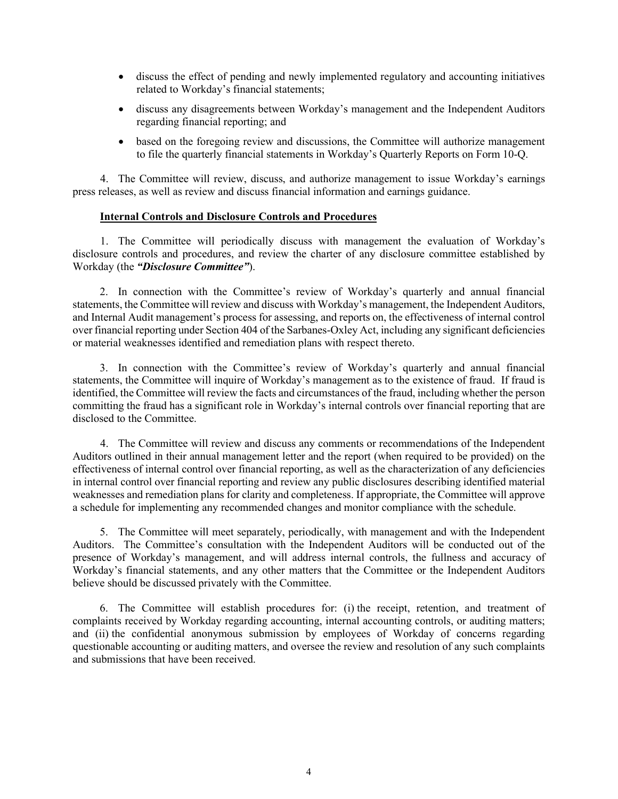- discuss the effect of pending and newly implemented regulatory and accounting initiatives related to Workday's financial statements;
- discuss any disagreements between Workday's management and the Independent Auditors regarding financial reporting; and
- based on the foregoing review and discussions, the Committee will authorize management to file the quarterly financial statements in Workday's Quarterly Reports on Form 10-Q.

4. The Committee will review, discuss, and authorize management to issue Workday's earnings press releases, as well as review and discuss financial information and earnings guidance.

### **Internal Controls and Disclosure Controls and Procedures**

1. The Committee will periodically discuss with management the evaluation of Workday's disclosure controls and procedures, and review the charter of any disclosure committee established by Workday (the *"Disclosure Committee"*).

2. In connection with the Committee's review of Workday's quarterly and annual financial statements, the Committee will review and discuss with Workday's management, the Independent Auditors, and Internal Audit management's process for assessing, and reports on, the effectiveness of internal control over financial reporting under Section 404 of the Sarbanes-Oxley Act, including any significant deficiencies or material weaknesses identified and remediation plans with respect thereto.

3. In connection with the Committee's review of Workday's quarterly and annual financial statements, the Committee will inquire of Workday's management as to the existence of fraud. If fraud is identified, the Committee will review the facts and circumstances of the fraud, including whether the person committing the fraud has a significant role in Workday's internal controls over financial reporting that are disclosed to the Committee.

4. The Committee will review and discuss any comments or recommendations of the Independent Auditors outlined in their annual management letter and the report (when required to be provided) on the effectiveness of internal control over financial reporting, as well as the characterization of any deficiencies in internal control over financial reporting and review any public disclosures describing identified material weaknesses and remediation plans for clarity and completeness. If appropriate, the Committee will approve a schedule for implementing any recommended changes and monitor compliance with the schedule.

5. The Committee will meet separately, periodically, with management and with the Independent Auditors. The Committee's consultation with the Independent Auditors will be conducted out of the presence of Workday's management, and will address internal controls, the fullness and accuracy of Workday's financial statements, and any other matters that the Committee or the Independent Auditors believe should be discussed privately with the Committee.

6. The Committee will establish procedures for: (i) the receipt, retention, and treatment of complaints received by Workday regarding accounting, internal accounting controls, or auditing matters; and (ii) the confidential anonymous submission by employees of Workday of concerns regarding questionable accounting or auditing matters, and oversee the review and resolution of any such complaints and submissions that have been received.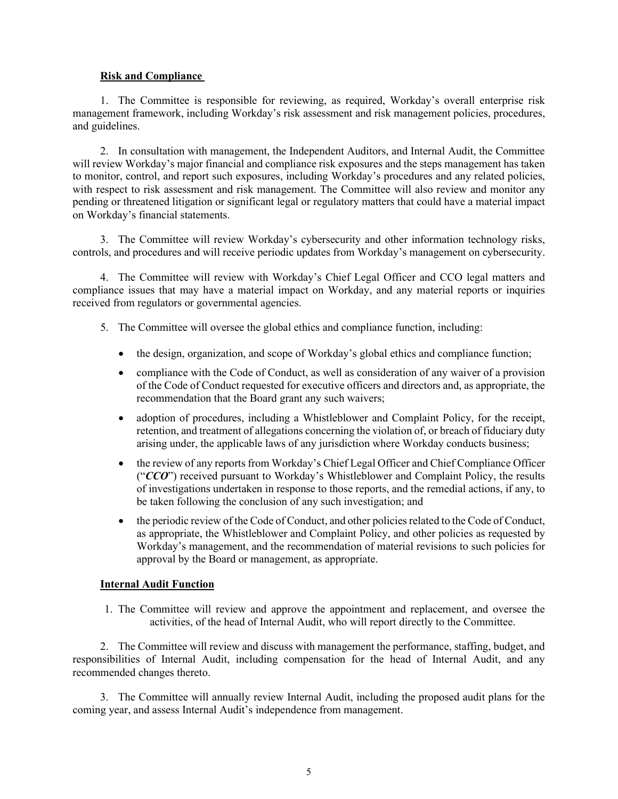### **Risk and Compliance**

1. The Committee is responsible for reviewing, as required, Workday's overall enterprise risk management framework, including Workday's risk assessment and risk management policies, procedures, and guidelines.

2. In consultation with management, the Independent Auditors, and Internal Audit, the Committee will review Workday's major financial and compliance risk exposures and the steps management has taken to monitor, control, and report such exposures, including Workday's procedures and any related policies, with respect to risk assessment and risk management. The Committee will also review and monitor any pending or threatened litigation or significant legal or regulatory matters that could have a material impact on Workday's financial statements.

3. The Committee will review Workday's cybersecurity and other information technology risks, controls, and procedures and will receive periodic updates from Workday's management on cybersecurity.

4. The Committee will review with Workday's Chief Legal Officer and CCO legal matters and compliance issues that may have a material impact on Workday, and any material reports or inquiries received from regulators or governmental agencies.

- 5. The Committee will oversee the global ethics and compliance function, including:
	- the design, organization, and scope of Workday's global ethics and compliance function;
	- compliance with the Code of Conduct, as well as consideration of any waiver of a provision of the Code of Conduct requested for executive officers and directors and, as appropriate, the recommendation that the Board grant any such waivers;
	- adoption of procedures, including a Whistleblower and Complaint Policy, for the receipt, retention, and treatment of allegations concerning the violation of, or breach of fiduciary duty arising under, the applicable laws of any jurisdiction where Workday conducts business;
	- the review of any reports from Workday's Chief Legal Officer and Chief Compliance Officer ("*CCO*") received pursuant to Workday's Whistleblower and Complaint Policy, the results of investigations undertaken in response to those reports, and the remedial actions, if any, to be taken following the conclusion of any such investigation; and
	- the periodic review of the Code of Conduct, and other policies related to the Code of Conduct, as appropriate, the Whistleblower and Complaint Policy, and other policies as requested by Workday's management, and the recommendation of material revisions to such policies for approval by the Board or management, as appropriate.

## **Internal Audit Function**

1. The Committee will review and approve the appointment and replacement, and oversee the activities, of the head of Internal Audit, who will report directly to the Committee.

2. The Committee will review and discuss with management the performance, staffing, budget, and responsibilities of Internal Audit, including compensation for the head of Internal Audit, and any recommended changes thereto.

3. The Committee will annually review Internal Audit, including the proposed audit plans for the coming year, and assess Internal Audit's independence from management.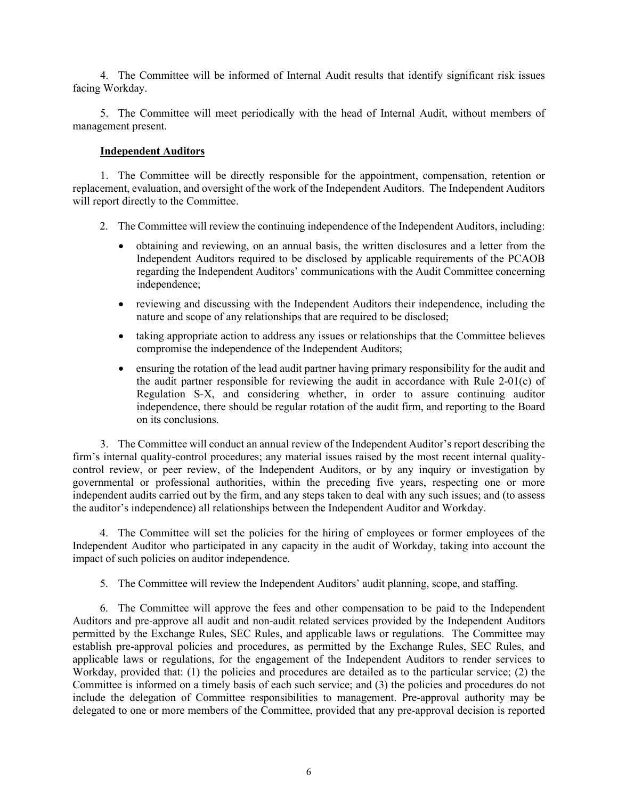4. The Committee will be informed of Internal Audit results that identify significant risk issues facing Workday.

5. The Committee will meet periodically with the head of Internal Audit, without members of management present.

### **Independent Auditors**

1. The Committee will be directly responsible for the appointment, compensation, retention or replacement, evaluation, and oversight of the work of the Independent Auditors. The Independent Auditors will report directly to the Committee.

- 2. The Committee will review the continuing independence of the Independent Auditors, including:
	- obtaining and reviewing, on an annual basis, the written disclosures and a letter from the Independent Auditors required to be disclosed by applicable requirements of the PCAOB regarding the Independent Auditors' communications with the Audit Committee concerning independence;
	- reviewing and discussing with the Independent Auditors their independence, including the nature and scope of any relationships that are required to be disclosed;
	- taking appropriate action to address any issues or relationships that the Committee believes compromise the independence of the Independent Auditors;
	- ensuring the rotation of the lead audit partner having primary responsibility for the audit and the audit partner responsible for reviewing the audit in accordance with Rule 2-01(c) of Regulation S-X, and considering whether, in order to assure continuing auditor independence, there should be regular rotation of the audit firm, and reporting to the Board on its conclusions.

3. The Committee will conduct an annual review of the Independent Auditor's report describing the firm's internal quality-control procedures; any material issues raised by the most recent internal qualitycontrol review, or peer review, of the Independent Auditors, or by any inquiry or investigation by governmental or professional authorities, within the preceding five years, respecting one or more independent audits carried out by the firm, and any steps taken to deal with any such issues; and (to assess the auditor's independence) all relationships between the Independent Auditor and Workday.

4. The Committee will set the policies for the hiring of employees or former employees of the Independent Auditor who participated in any capacity in the audit of Workday, taking into account the impact of such policies on auditor independence.

5. The Committee will review the Independent Auditors' audit planning, scope, and staffing.

6. The Committee will approve the fees and other compensation to be paid to the Independent Auditors and pre-approve all audit and non-audit related services provided by the Independent Auditors permitted by the Exchange Rules, SEC Rules, and applicable laws or regulations. The Committee may establish pre-approval policies and procedures, as permitted by the Exchange Rules, SEC Rules, and applicable laws or regulations, for the engagement of the Independent Auditors to render services to Workday, provided that: (1) the policies and procedures are detailed as to the particular service; (2) the Committee is informed on a timely basis of each such service; and (3) the policies and procedures do not include the delegation of Committee responsibilities to management. Pre-approval authority may be delegated to one or more members of the Committee, provided that any pre-approval decision is reported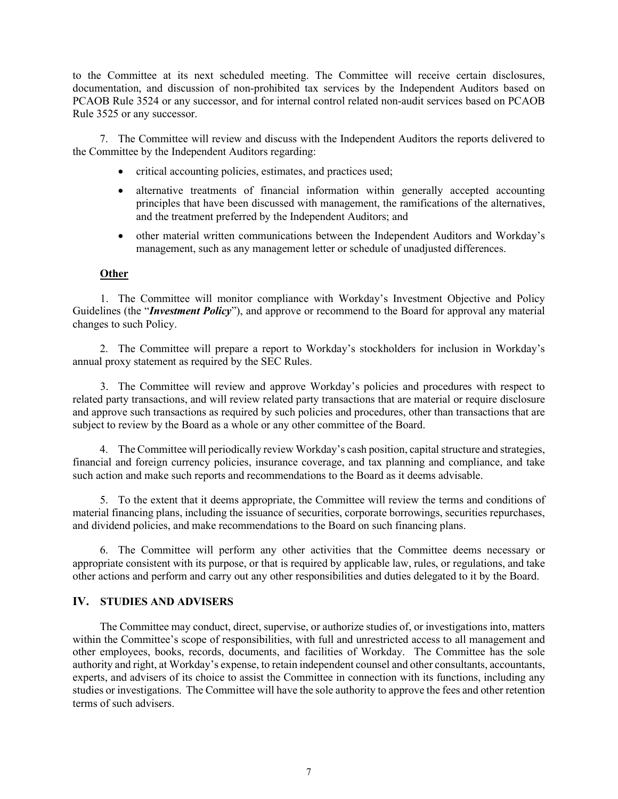to the Committee at its next scheduled meeting. The Committee will receive certain disclosures, documentation, and discussion of non-prohibited tax services by the Independent Auditors based on PCAOB Rule 3524 or any successor, and for internal control related non-audit services based on PCAOB Rule 3525 or any successor.

7. The Committee will review and discuss with the Independent Auditors the reports delivered to the Committee by the Independent Auditors regarding:

- critical accounting policies, estimates, and practices used;
- alternative treatments of financial information within generally accepted accounting principles that have been discussed with management, the ramifications of the alternatives, and the treatment preferred by the Independent Auditors; and
- other material written communications between the Independent Auditors and Workday's management, such as any management letter or schedule of unadjusted differences.

### **Other**

1. The Committee will monitor compliance with Workday's Investment Objective and Policy Guidelines (the "*Investment Policy*"), and approve or recommend to the Board for approval any material changes to such Policy.

2. The Committee will prepare a report to Workday's stockholders for inclusion in Workday's annual proxy statement as required by the SEC Rules.

3. The Committee will review and approve Workday's policies and procedures with respect to related party transactions, and will review related party transactions that are material or require disclosure and approve such transactions as required by such policies and procedures, other than transactions that are subject to review by the Board as a whole or any other committee of the Board.

4. The Committee will periodically review Workday's cash position, capital structure and strategies, financial and foreign currency policies, insurance coverage, and tax planning and compliance, and take such action and make such reports and recommendations to the Board as it deems advisable.

5. To the extent that it deems appropriate, the Committee will review the terms and conditions of material financing plans, including the issuance of securities, corporate borrowings, securities repurchases, and dividend policies, and make recommendations to the Board on such financing plans.

6. The Committee will perform any other activities that the Committee deems necessary or appropriate consistent with its purpose, or that is required by applicable law, rules, or regulations, and take other actions and perform and carry out any other responsibilities and duties delegated to it by the Board.

### **IV. STUDIES AND ADVISERS**

The Committee may conduct, direct, supervise, or authorize studies of, or investigations into, matters within the Committee's scope of responsibilities, with full and unrestricted access to all management and other employees, books, records, documents, and facilities of Workday. The Committee has the sole authority and right, at Workday's expense, to retain independent counsel and other consultants, accountants, experts, and advisers of its choice to assist the Committee in connection with its functions, including any studies or investigations. The Committee will have the sole authority to approve the fees and other retention terms of such advisers.